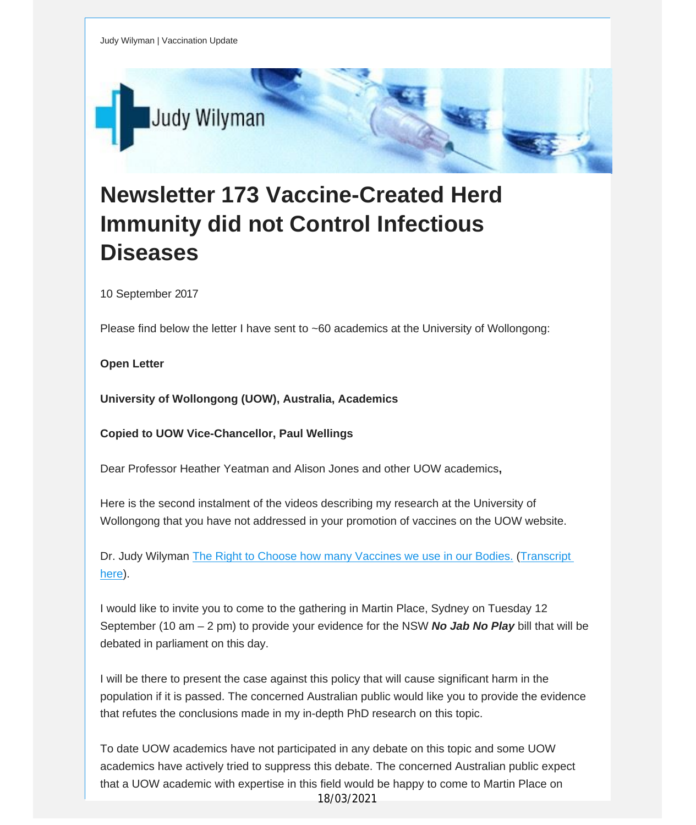

## **Newsletter 173 Vaccine-Created Herd Immunity did not Control Infectious Diseases**

10 September 2017

Please find below the letter I have sent to ~60 academics at the University of Wollongong:

**Open Letter**

**University of Wollongong (UOW), Australia, Academics**

**Copied to UOW Vice-Chancellor, Paul Wellings**

Dear Professor Heather Yeatman and Alison Jones and other UOW academics**,**

Here is the second instalment of the videos describing my research at the University of Wollongong that you have not addressed in your promotion of vaccines on the UOW website.

Dr. Judy Wilyman The Right to Choose how many [Vaccines](http://vaccinationdecisions.us8.list-manage2.com/track/click?u=f20605fde3732e41929f4a3f2&id=96b356f4f9&e=fec8337d3c) we use in our Bodies. ([Transcript](http://vaccinationdecisions.us8.list-manage1.com/track/click?u=f20605fde3732e41929f4a3f2&id=8078c0f9d5&e=fec8337d3c) [here](http://vaccinationdecisions.us8.list-manage1.com/track/click?u=f20605fde3732e41929f4a3f2&id=8078c0f9d5&e=fec8337d3c)).

I would like to invite you to come to the gathering in Martin Place, Sydney on Tuesday 12 September (10 am – 2 pm) to provide your evidence for the NSW *No Jab No Play* bill that will be debated in parliament on this day.

I will be there to present the case against this policy that will cause significant harm in the population if it is passed. The concerned Australian public would like you to provide the evidence that refutes the conclusions made in my in-depth PhD research on this topic.

To date UOW academics have not participated in any debate on this topic and some UOW academics have actively tried to suppress this debate. The concerned Australian public expect that a UOW academic with expertise in this field would be happy to come to Martin Place on 18/03/2021